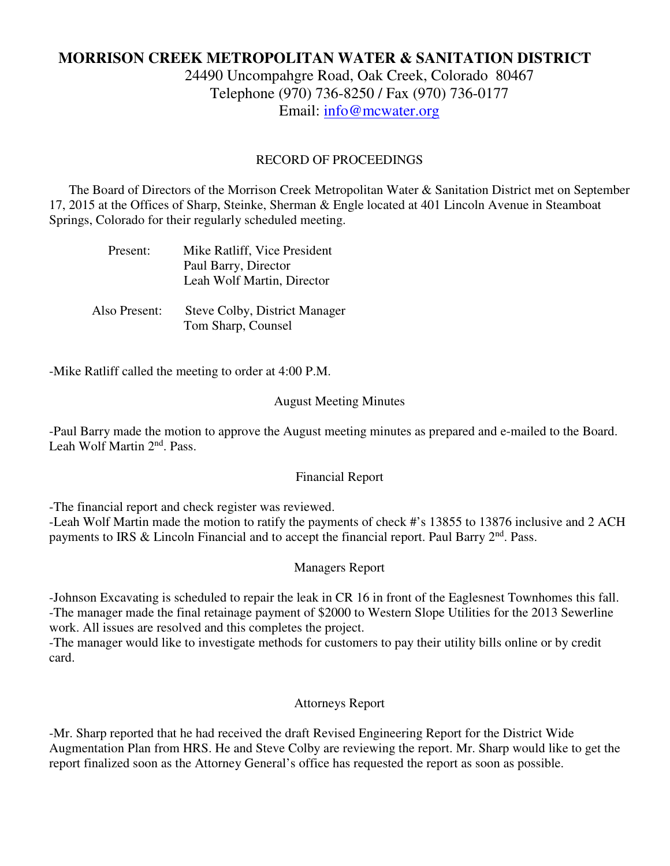# **MORRISON CREEK METROPOLITAN WATER & SANITATION DISTRICT**

24490 Uncompahgre Road, Oak Creek, Colorado 80467 Telephone (970) 736-8250 / Fax (970) 736-0177 Email: info@mcwater.org

## RECORD OF PROCEEDINGS

 The Board of Directors of the Morrison Creek Metropolitan Water & Sanitation District met on September 17, 2015 at the Offices of Sharp, Steinke, Sherman & Engle located at 401 Lincoln Avenue in Steamboat Springs, Colorado for their regularly scheduled meeting.

| Present: | Mike Ratliff, Vice President |
|----------|------------------------------|
|          | Paul Barry, Director         |
|          | Leah Wolf Martin, Director   |
|          |                              |

 Also Present: Steve Colby, District Manager Tom Sharp, Counsel

-Mike Ratliff called the meeting to order at 4:00 P.M.

### August Meeting Minutes

-Paul Barry made the motion to approve the August meeting minutes as prepared and e-mailed to the Board. Leah Wolf Martin 2<sup>nd</sup>, Pass.

#### Financial Report

-The financial report and check register was reviewed.

-Leah Wolf Martin made the motion to ratify the payments of check #'s 13855 to 13876 inclusive and 2 ACH payments to IRS & Lincoln Financial and to accept the financial report. Paul Barry  $2<sup>nd</sup>$ . Pass.

#### Managers Report

-Johnson Excavating is scheduled to repair the leak in CR 16 in front of the Eaglesnest Townhomes this fall. -The manager made the final retainage payment of \$2000 to Western Slope Utilities for the 2013 Sewerline work. All issues are resolved and this completes the project.

-The manager would like to investigate methods for customers to pay their utility bills online or by credit card.

## Attorneys Report

-Mr. Sharp reported that he had received the draft Revised Engineering Report for the District Wide Augmentation Plan from HRS. He and Steve Colby are reviewing the report. Mr. Sharp would like to get the report finalized soon as the Attorney General's office has requested the report as soon as possible.